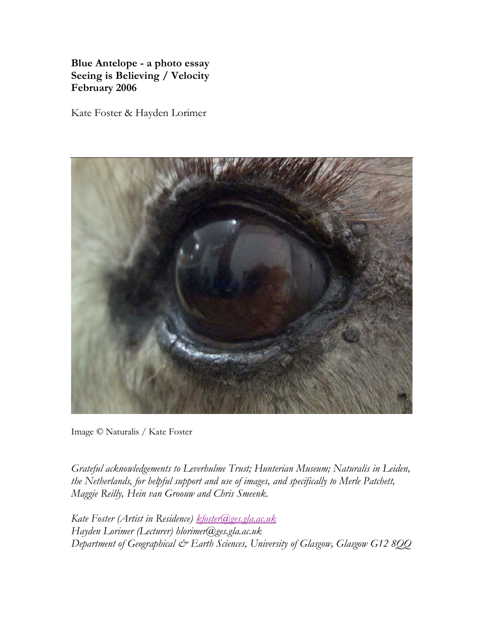**Blue Antelope - a photo essay Seeing is Believing / Velocity February 2006**

Kate Foster & Hayden Lorimer



Image © Naturalis / Kate Foster

*Grateful acknowledgements to Leverhulme Trust; Hunterian Museum; Naturalis in Leiden, the Netherlands, for helpful support and use of images, and specifically to Merle Patchett, Maggie Reilly, Hein van Groouw and Chris Smeenk.*

*Kate Foster (Artist in Residence) kfoster@ges.gla.ac.uk Hayden Lorimer (Lecturer) hlorimer@ges.gla.ac.uk Department of Geographical & Earth Sciences, University of Glasgow, Glasgow G12 8QQ*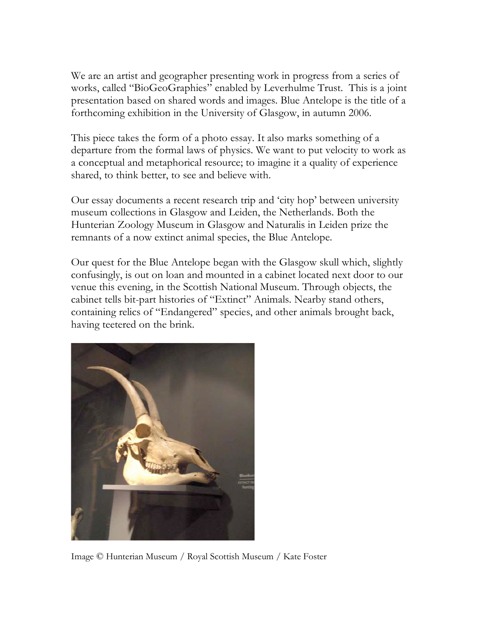We are an artist and geographer presenting work in progress from a series of works, called "BioGeoGraphies" enabled by Leverhulme Trust. This is a joint presentation based on shared words and images. Blue Antelope is the title of a forthcoming exhibition in the University of Glasgow, in autumn 2006.

This piece takes the form of a photo essay. It also marks something of a departure from the formal laws of physics. We want to put velocity to work as a conceptual and metaphorical resource; to imagine it a quality of experience shared, to think better, to see and believe with.

Our essay documents a recent research trip and 'city hop' between university museum collections in Glasgow and Leiden, the Netherlands. Both the Hunterian Zoology Museum in Glasgow and Naturalis in Leiden prize the remnants of a now extinct animal species, the Blue Antelope.

Our quest for the Blue Antelope began with the Glasgow skull which, slightly confusingly, is out on loan and mounted in a cabinet located next door to our venue this evening, in the Scottish National Museum. Through objects, the cabinet tells bit-part histories of "Extinct" Animals. Nearby stand others, containing relics of "Endangered" species, and other animals brought back, having teetered on the brink.



Image © Hunterian Museum / Royal Scottish Museum / Kate Foster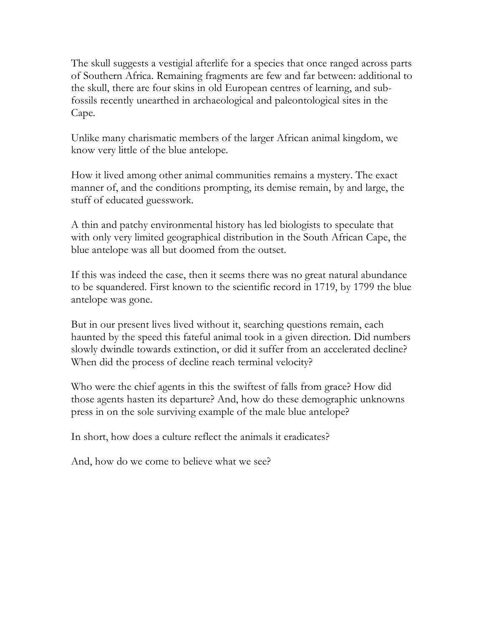The skull suggests a vestigial afterlife for a species that once ranged across parts of Southern Africa. Remaining fragments are few and far between: additional to the skull, there are four skins in old European centres of learning, and subfossils recently unearthed in archaeological and paleontological sites in the Cape.

Unlike many charismatic members of the larger African animal kingdom, we know very little of the blue antelope.

How it lived among other animal communities remains a mystery. The exact manner of, and the conditions prompting, its demise remain, by and large, the stuff of educated guesswork.

A thin and patchy environmental history has led biologists to speculate that with only very limited geographical distribution in the South African Cape, the blue antelope was all but doomed from the outset.

If this was indeed the case, then it seems there was no great natural abundance to be squandered. First known to the scientific record in 1719, by 1799 the blue antelope was gone.

But in our present lives lived without it, searching questions remain, each haunted by the speed this fateful animal took in a given direction. Did numbers slowly dwindle towards extinction, or did it suffer from an accelerated decline? When did the process of decline reach terminal velocity?

Who were the chief agents in this the swiftest of falls from grace? How did those agents hasten its departure? And, how do these demographic unknowns press in on the sole surviving example of the male blue antelope?

In short, how does a culture reflect the animals it eradicates?

And, how do we come to believe what we see?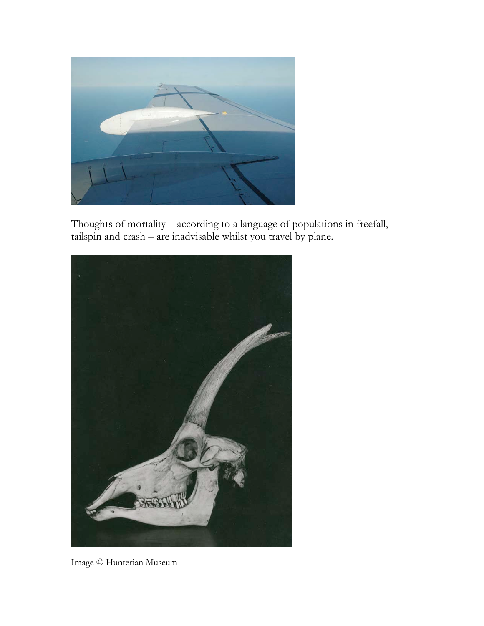

Thoughts of mortality – according to a language of populations in freefall, tailspin and crash – are inadvisable whilst you travel by plane.



Image © Hunterian Museum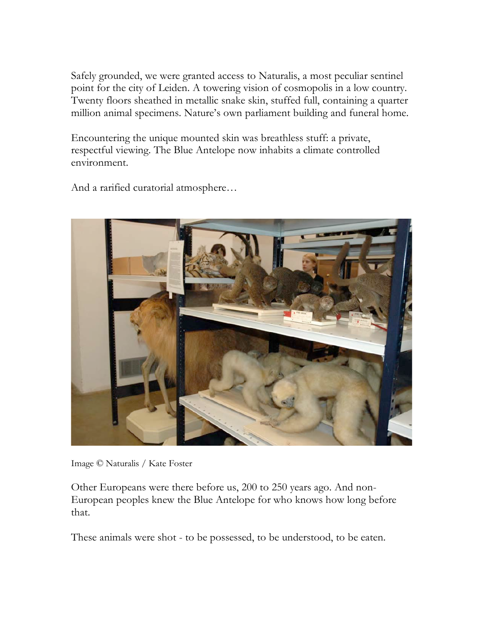Safely grounded, we were granted access to Naturalis, a most peculiar sentinel point for the city of Leiden. A towering vision of cosmopolis in a low country. Twenty floors sheathed in metallic snake skin, stuffed full, containing a quarter million animal specimens. Nature's own parliament building and funeral home.

Encountering the unique mounted skin was breathless stuff: a private, respectful viewing. The Blue Antelope now inhabits a climate controlled environment.

And a rarified curatorial atmosphere…



Image © Naturalis / Kate Foster

Other Europeans were there before us, 200 to 250 years ago. And non-European peoples knew the Blue Antelope for who knows how long before that.

These animals were shot - to be possessed, to be understood, to be eaten.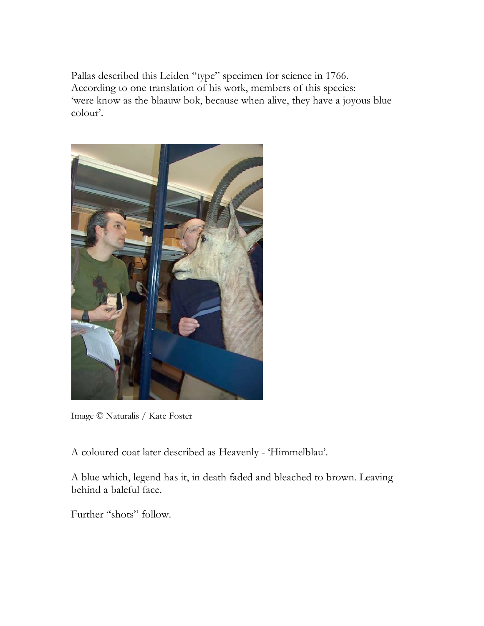Pallas described this Leiden "type" specimen for science in 1766. According to one translation of his work, members of this species: 'were know as the blaauw bok, because when alive, they have a joyous blue colour'.



Image © Naturalis / Kate Foster

A coloured coat later described as Heavenly - 'Himmelblau'.

A blue which, legend has it, in death faded and bleached to brown. Leaving behind a baleful face.

Further "shots" follow.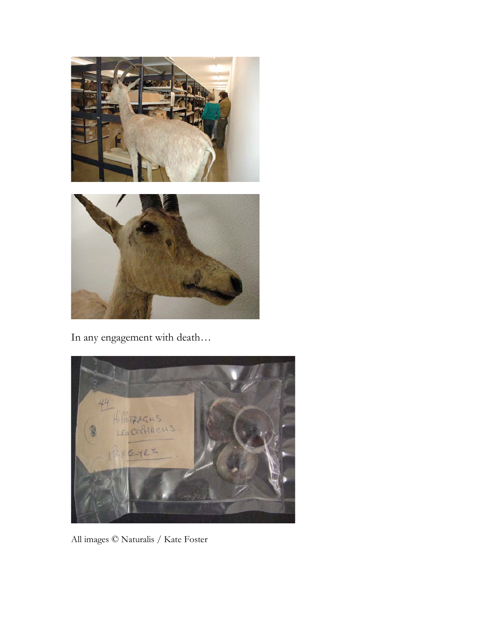

In any engagement with death…



All images © Naturalis / Kate Foster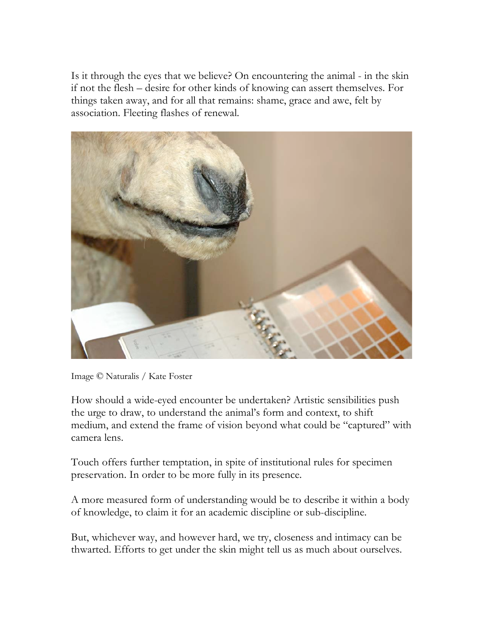Is it through the eyes that we believe? On encountering the animal - in the skin if not the flesh – desire for other kinds of knowing can assert themselves. For things taken away, and for all that remains: shame, grace and awe, felt by association. Fleeting flashes of renewal.



Image © Naturalis / Kate Foster

How should a wide-eyed encounter be undertaken? Artistic sensibilities push the urge to draw, to understand the animal's form and context, to shift medium, and extend the frame of vision beyond what could be "captured" with camera lens.

Touch offers further temptation, in spite of institutional rules for specimen preservation. In order to be more fully in its presence.

A more measured form of understanding would be to describe it within a body of knowledge, to claim it for an academic discipline or sub-discipline.

But, whichever way, and however hard, we try, closeness and intimacy can be thwarted. Efforts to get under the skin might tell us as much about ourselves.